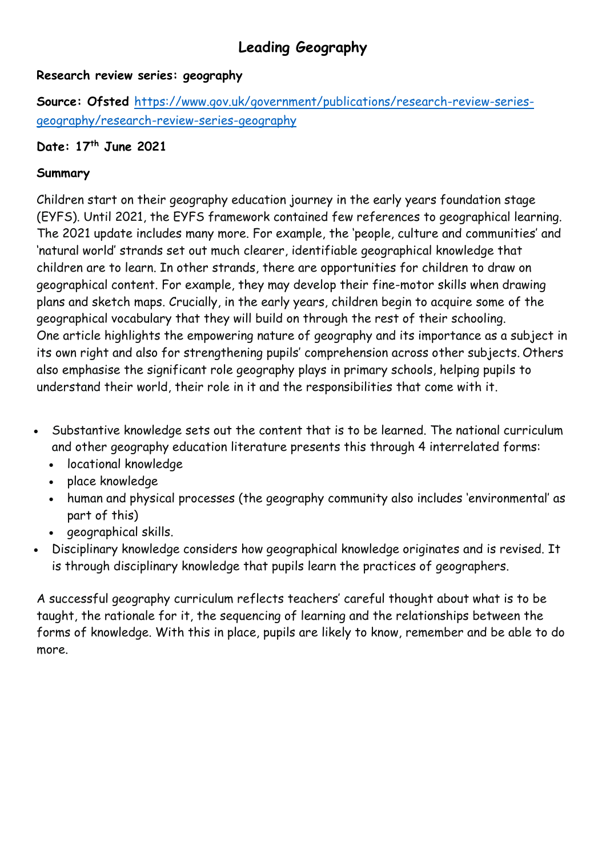# **Leading Geography**

#### **Research review series: geography**

**Source: Ofsted** [https://www.gov.uk/government/publications/research-review-series](https://www.gov.uk/government/publications/research-review-series-geography/research-review-series-geography)[geography/research-review-series-geography](https://www.gov.uk/government/publications/research-review-series-geography/research-review-series-geography)

## **Date: 17 th June 2021**

#### **Summary**

Children start on their geography education journey in the early years foundation stage (EYFS). Until 2021, the EYFS framework contained few references to geographical learning. The 2021 update includes many more. For example, the 'people, culture and communities' and 'natural world' strands set out much clearer, identifiable geographical knowledge that children are to learn. In other strands, there are opportunities for children to draw on geographical content. For example, they may develop their fine-motor skills when drawing plans and sketch maps. Crucially, in the early years, children begin to acquire some of the geographical vocabulary that they will build on through the rest of their schooling. One article highlights the empowering nature of geography and its importance as a subject in its own right and also for strengthening pupils' comprehension across other subjects. Others also emphasise the significant role geography plays in primary schools, helping pupils to understand their world, their role in it and the responsibilities that come with it.

- Substantive knowledge sets out the content that is to be learned. The national curriculum and other geography education literature presents this through 4 interrelated forms:
	- locational knowledge
	- place knowledge
	- human and physical processes (the geography community also includes 'environmental' as part of this)
	- geographical skills.
- Disciplinary knowledge considers how geographical knowledge originates and is revised. It is through disciplinary knowledge that pupils learn the practices of geographers.

A successful geography curriculum reflects teachers' careful thought about what is to be taught, the rationale for it, the sequencing of learning and the relationships between the forms of knowledge. With this in place, pupils are likely to know, remember and be able to do more.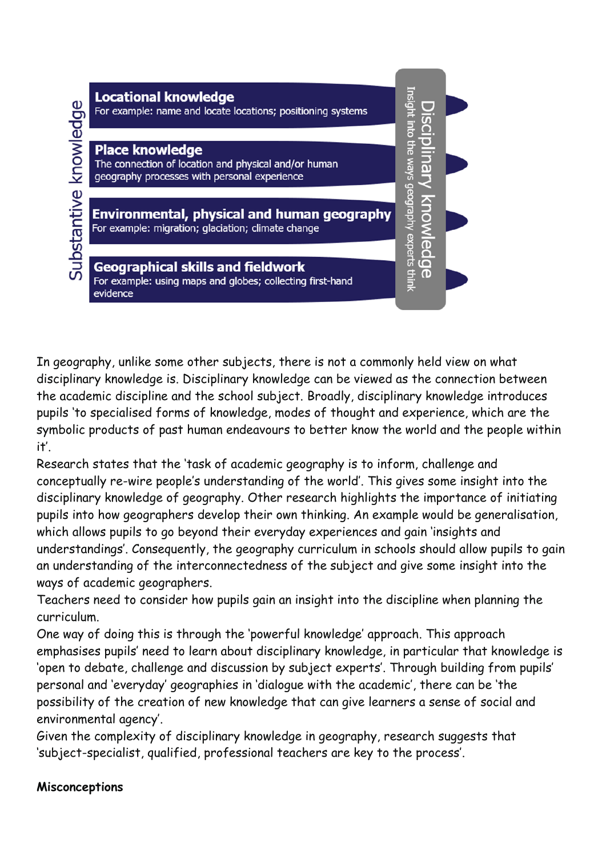

In geography, unlike some other subjects, there is not a commonly held view on what disciplinary knowledge is. Disciplinary knowledge can be viewed as the connection between the academic discipline and the school subject. Broadly, disciplinary knowledge introduces pupils 'to specialised forms of knowledge, modes of thought and experience, which are the symbolic products of past human endeavours to better know the world and the people within it'.

Research states that the 'task of academic geography is to inform, challenge and conceptually re-wire people's understanding of the world'. This gives some insight into the disciplinary knowledge of geography. Other research highlights the importance of initiating pupils into how geographers develop their own thinking. An example would be generalisation, which allows pupils to go beyond their everyday experiences and gain 'insights and understandings'. Consequently, the geography curriculum in schools should allow pupils to gain an understanding of the interconnectedness of the subject and give some insight into the ways of academic geographers.

Teachers need to consider how pupils gain an insight into the discipline when planning the curriculum.

One way of doing this is through the 'powerful knowledge' approach. This approach emphasises pupils' need to learn about disciplinary knowledge, in particular that knowledge is 'open to debate, challenge and discussion by subject experts'. Through building from pupils' personal and 'everyday' geographies in 'dialogue with the academic', there can be 'the possibility of the creation of new knowledge that can give learners a sense of social and environmental agency'.

Given the complexity of disciplinary knowledge in geography, research suggests that 'subject-specialist, qualified, professional teachers are key to the process'.

#### **Misconceptions**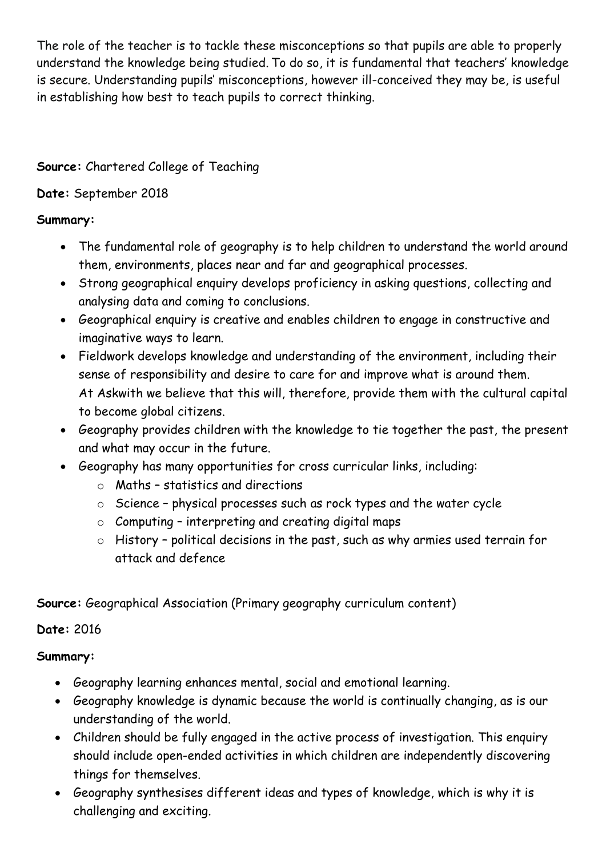The role of the teacher is to tackle these misconceptions so that pupils are able to properly understand the knowledge being studied. To do so, it is fundamental that teachers' knowledge is secure. Understanding pupils' misconceptions, however ill-conceived they may be, is useful in establishing how best to teach pupils to correct thinking.

## **Source:** Chartered College of Teaching

## **Date:** September 2018

## **Summary:**

- The fundamental role of geography is to help children to understand the world around them, environments, places near and far and geographical processes.
- Strong geographical enquiry develops proficiency in asking questions, collecting and analysing data and coming to conclusions.
- Geographical enquiry is creative and enables children to engage in constructive and imaginative ways to learn.
- Fieldwork develops knowledge and understanding of the environment, including their sense of responsibility and desire to care for and improve what is around them. At Askwith we believe that this will, therefore, provide them with the cultural capital to become global citizens.
- Geography provides children with the knowledge to tie together the past, the present and what may occur in the future.
- Geography has many opportunities for cross curricular links, including:
	- o Maths statistics and directions
	- o Science physical processes such as rock types and the water cycle
	- $\circ$  Computing interpreting and creating digital maps
	- o History political decisions in the past, such as why armies used terrain for attack and defence

**Source:** Geographical Association (Primary geography curriculum content)

**Date:** 2016

#### **Summary:**

- Geography learning enhances mental, social and emotional learning.
- Geography knowledge is dynamic because the world is continually changing, as is our understanding of the world.
- Children should be fully engaged in the active process of investigation. This enquiry should include open-ended activities in which children are independently discovering things for themselves.
- Geography synthesises different ideas and types of knowledge, which is why it is challenging and exciting.